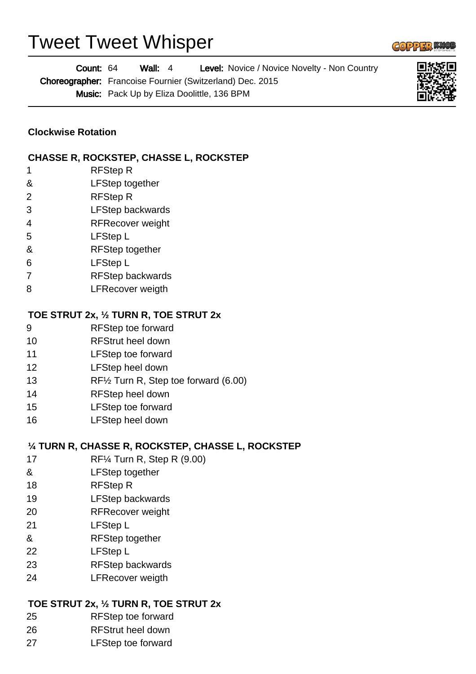# Tweet Tweet Whisper



#### **TOE STRUT 2x, ½ TURN R, TOE STRUT 2x**

- RFStep toe forward
- RFStrut heel down
- LFStep toe forward

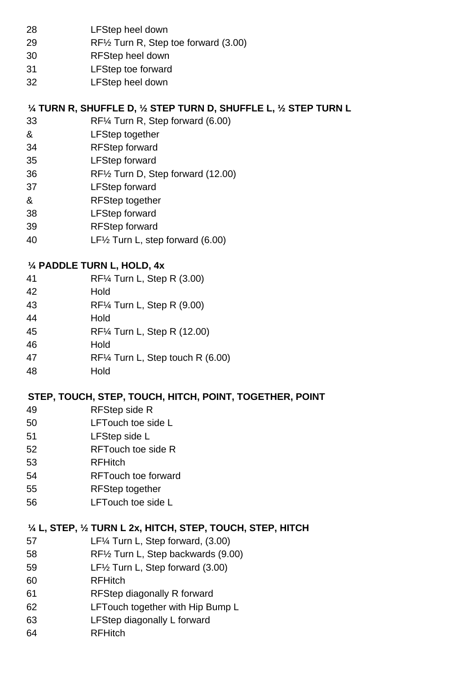- LFStep heel down
- RF½ Turn R, Step toe forward (3.00)
- RFStep heel down
- LFStep toe forward
- LFStep heel down

#### **¼ TURN R, SHUFFLE D, ½ STEP TURN D, SHUFFLE L, ½ STEP TURN L**

- RF¼ Turn R, Step forward (6.00)
- & LFStep together
- RFStep forward
- LFStep forward
- RF½ Turn D, Step forward (12.00)
- LFStep forward
- & RFStep together
- LFStep forward
- RFStep forward
- LF½ Turn L, step forward (6.00)

### **¼ PADDLE TURN L, HOLD, 4x**

- RF¼ Turn L, Step R (3.00)
- Hold
- RF¼ Turn L, Step R (9.00)
- Hold
- RF¼ Turn L, Step R (12.00)
- Hold
- RF¼ Turn L, Step touch R (6.00)
- Hold

## **STEP, TOUCH, STEP, TOUCH, HITCH, POINT, TOGETHER, POINT**

- RFStep side R
- LFTouch toe side L
- LFStep side L
- RFTouch toe side R
- RFHitch
- RFTouch toe forward
- RFStep together
- LFTouch toe side L

### **¼ L, STEP, ½ TURN L 2x, HITCH, STEP, TOUCH, STEP, HITCH**

- LF¼ Turn L, Step forward, (3.00)
- RF½ Turn L, Step backwards (9.00)
- LF½ Turn L, Step forward (3.00)
- RFHitch
- RFStep diagonally R forward
- LFTouch together with Hip Bump L
- LFStep diagonally L forward
- RFHitch